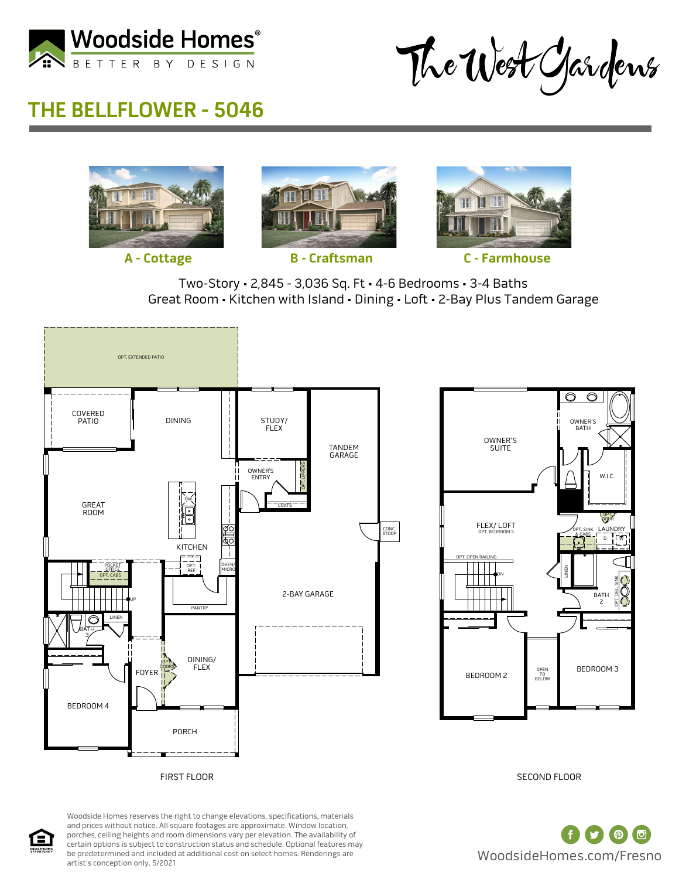

The West Gardens

# **THE BELLFLOWER - 5046**









**A - Cottage B - Craftsman C - Farmhouse**

Two-Story • 2,845 - 3,036 Sq. Ft • 4-6 Bedrooms • 3-4 Baths Great Room • Kitchen with Island • Dining • Loft • 2-Bay Plus Tandem Garage





SECOND FLOOR



Woodside Homes reserves the right to change elevations, specifications, materials and prices without notice. All square footages are approximate. Window location, porches, ceiling heights and room dimensions vary per elevation. The availability of certain options is subject to construction status and schedule. Optional features may be predetermined and included at additional cost on select homes. Renderings are artist's conception only. 5/2021

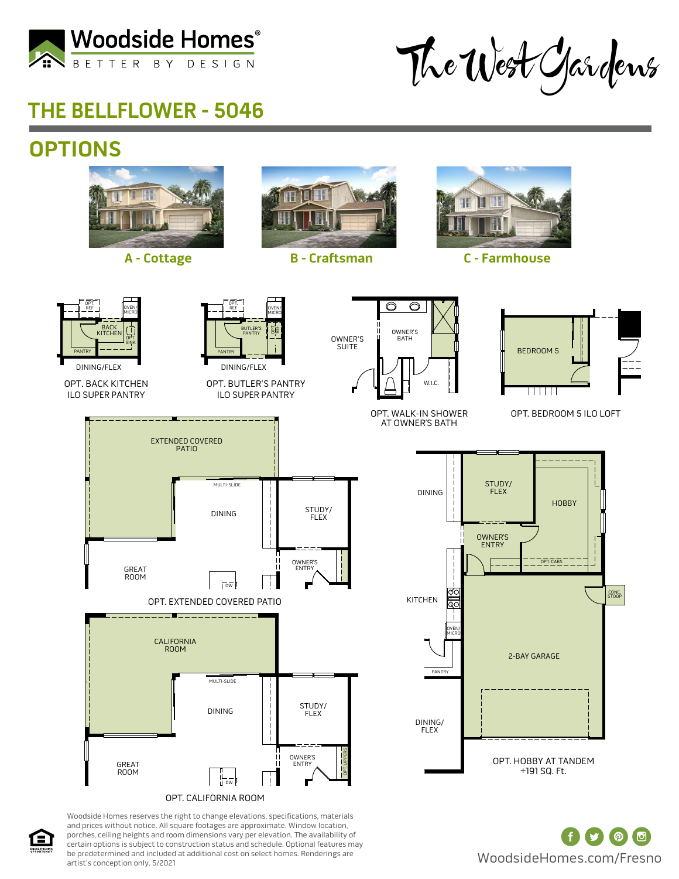

The West Gardens

### **THE BELLFLOWER - 5046**

# **OPTIONS**



OPT. CALIFORNIA ROOM

Woodside Homes reserves the right to change elevations, specifications, materials and prices without notice. All square footages are approximate. Window location, porches, ceiling heights and room dimensions vary per elevation. The availability of certain options is subject to construction status and schedule. Optional features may be predetermined and included at additional cost on select homes. Renderings are artist's conception only. 5/2021